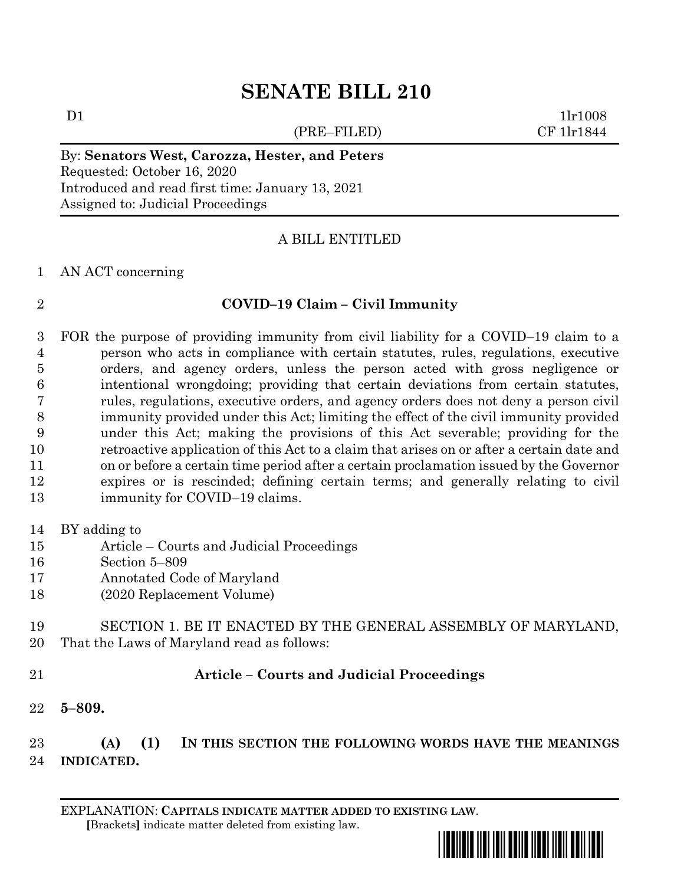# **SENATE BILL 210**

(PRE–FILED) CF 1lr1844

 $D1$  1lr1008

By: **Senators West, Carozza, Hester, and Peters** Requested: October 16, 2020 Introduced and read first time: January 13, 2021 Assigned to: Judicial Proceedings

## A BILL ENTITLED

### AN ACT concerning

# **COVID–19 Claim – Civil Immunity**

- FOR the purpose of providing immunity from civil liability for a COVID–19 claim to a person who acts in compliance with certain statutes, rules, regulations, executive orders, and agency orders, unless the person acted with gross negligence or intentional wrongdoing; providing that certain deviations from certain statutes, rules, regulations, executive orders, and agency orders does not deny a person civil immunity provided under this Act; limiting the effect of the civil immunity provided under this Act; making the provisions of this Act severable; providing for the retroactive application of this Act to a claim that arises on or after a certain date and on or before a certain time period after a certain proclamation issued by the Governor expires or is rescinded; defining certain terms; and generally relating to civil 13 immunity for COVID–19 claims.
- BY adding to
- Article Courts and Judicial Proceedings
- Section 5–809
- Annotated Code of Maryland
- (2020 Replacement Volume)
- SECTION 1. BE IT ENACTED BY THE GENERAL ASSEMBLY OF MARYLAND, That the Laws of Maryland read as follows:
- 

## **Article – Courts and Judicial Proceedings**

**5–809.**

 **(A) (1) IN THIS SECTION THE FOLLOWING WORDS HAVE THE MEANINGS INDICATED.**

EXPLANATION: **CAPITALS INDICATE MATTER ADDED TO EXISTING LAW**.  **[**Brackets**]** indicate matter deleted from existing law.

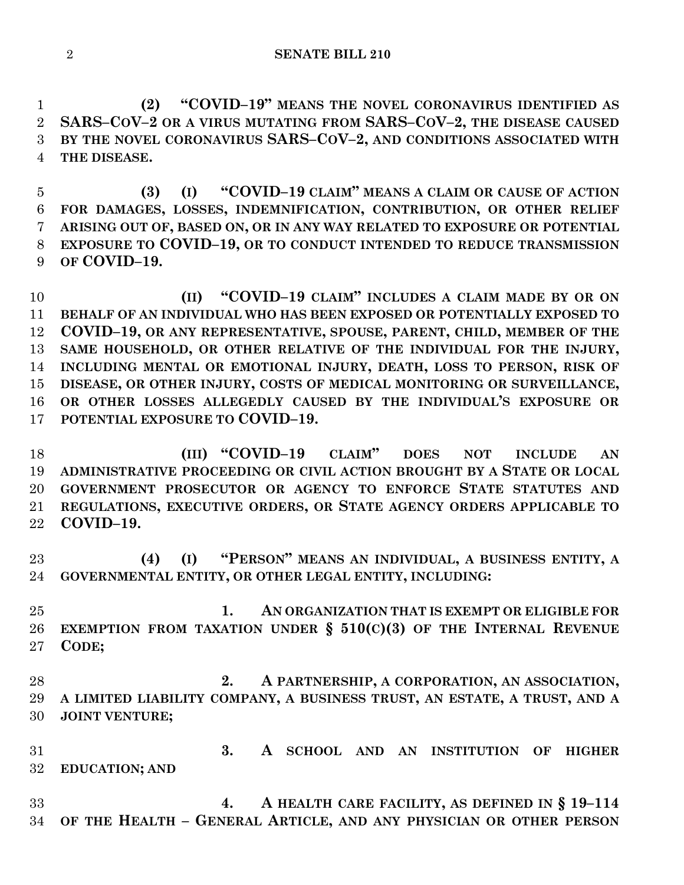**(2) "COVID–19" MEANS THE NOVEL CORONAVIRUS IDENTIFIED AS SARS–COV–2 OR A VIRUS MUTATING FROM SARS–COV–2, THE DISEASE CAUSED BY THE NOVEL CORONAVIRUS SARS–COV–2, AND CONDITIONS ASSOCIATED WITH THE DISEASE.**

 **(3) (I) "COVID–19 CLAIM" MEANS A CLAIM OR CAUSE OF ACTION FOR DAMAGES, LOSSES, INDEMNIFICATION, CONTRIBUTION, OR OTHER RELIEF ARISING OUT OF, BASED ON, OR IN ANY WAY RELATED TO EXPOSURE OR POTENTIAL EXPOSURE TO COVID–19, OR TO CONDUCT INTENDED TO REDUCE TRANSMISSION OF COVID–19.**

 **(II) "COVID–19 CLAIM" INCLUDES A CLAIM MADE BY OR ON BEHALF OF AN INDIVIDUAL WHO HAS BEEN EXPOSED OR POTENTIALLY EXPOSED TO COVID–19, OR ANY REPRESENTATIVE, SPOUSE, PARENT, CHILD, MEMBER OF THE SAME HOUSEHOLD, OR OTHER RELATIVE OF THE INDIVIDUAL FOR THE INJURY, INCLUDING MENTAL OR EMOTIONAL INJURY, DEATH, LOSS TO PERSON, RISK OF DISEASE, OR OTHER INJURY, COSTS OF MEDICAL MONITORING OR SURVEILLANCE, OR OTHER LOSSES ALLEGEDLY CAUSED BY THE INDIVIDUAL'S EXPOSURE OR POTENTIAL EXPOSURE TO COVID–19.**

 **(III) "COVID–19 CLAIM" DOES NOT INCLUDE AN ADMINISTRATIVE PROCEEDING OR CIVIL ACTION BROUGHT BY A STATE OR LOCAL GOVERNMENT PROSECUTOR OR AGENCY TO ENFORCE STATE STATUTES AND REGULATIONS, EXECUTIVE ORDERS, OR STATE AGENCY ORDERS APPLICABLE TO COVID–19.**

 **(4) (I) "PERSON" MEANS AN INDIVIDUAL, A BUSINESS ENTITY, A GOVERNMENTAL ENTITY, OR OTHER LEGAL ENTITY, INCLUDING:**

 **1. AN ORGANIZATION THAT IS EXEMPT OR ELIGIBLE FOR EXEMPTION FROM TAXATION UNDER § 510(C)(3) OF THE INTERNAL REVENUE CODE;**

 **2. A PARTNERSHIP, A CORPORATION, AN ASSOCIATION, A LIMITED LIABILITY COMPANY, A BUSINESS TRUST, AN ESTATE, A TRUST, AND A JOINT VENTURE;**

 **3. A SCHOOL AND AN INSTITUTION OF HIGHER EDUCATION; AND**

 **4. A HEALTH CARE FACILITY, AS DEFINED IN § 19–114 OF THE HEALTH – GENERAL ARTICLE, AND ANY PHYSICIAN OR OTHER PERSON**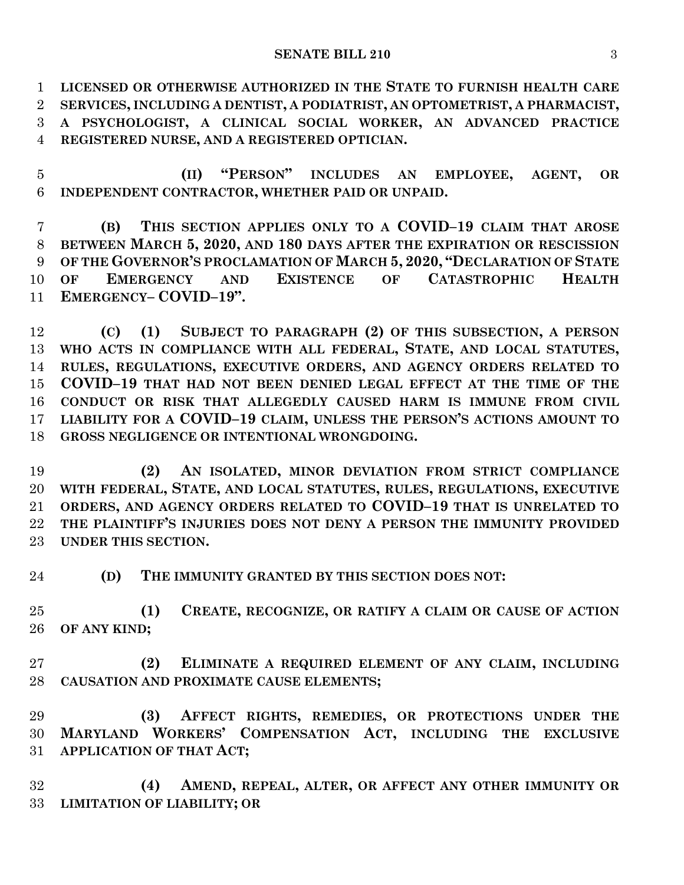**LICENSED OR OTHERWISE AUTHORIZED IN THE STATE TO FURNISH HEALTH CARE SERVICES, INCLUDING A DENTIST, A PODIATRIST, AN OPTOMETRIST, A PHARMACIST, A PSYCHOLOGIST, A CLINICAL SOCIAL WORKER, AN ADVANCED PRACTICE REGISTERED NURSE, AND A REGISTERED OPTICIAN.**

 **(II) "PERSON" INCLUDES AN EMPLOYEE, AGENT, OR INDEPENDENT CONTRACTOR, WHETHER PAID OR UNPAID.**

 **(B) THIS SECTION APPLIES ONLY TO A COVID–19 CLAIM THAT AROSE BETWEEN MARCH 5, 2020, AND 180 DAYS AFTER THE EXPIRATION OR RESCISSION OF THE GOVERNOR'S PROCLAMATION OF MARCH 5, 2020, "DECLARATION OF STATE OF EMERGENCY AND EXISTENCE OF CATASTROPHIC HEALTH EMERGENCY– COVID–19".**

 **(C) (1) SUBJECT TO PARAGRAPH (2) OF THIS SUBSECTION, A PERSON WHO ACTS IN COMPLIANCE WITH ALL FEDERAL, STATE, AND LOCAL STATUTES, RULES, REGULATIONS, EXECUTIVE ORDERS, AND AGENCY ORDERS RELATED TO COVID–19 THAT HAD NOT BEEN DENIED LEGAL EFFECT AT THE TIME OF THE CONDUCT OR RISK THAT ALLEGEDLY CAUSED HARM IS IMMUNE FROM CIVIL LIABILITY FOR A COVID–19 CLAIM, UNLESS THE PERSON'S ACTIONS AMOUNT TO GROSS NEGLIGENCE OR INTENTIONAL WRONGDOING.**

 **(2) AN ISOLATED, MINOR DEVIATION FROM STRICT COMPLIANCE WITH FEDERAL, STATE, AND LOCAL STATUTES, RULES, REGULATIONS, EXECUTIVE ORDERS, AND AGENCY ORDERS RELATED TO COVID–19 THAT IS UNRELATED TO THE PLAINTIFF'S INJURIES DOES NOT DENY A PERSON THE IMMUNITY PROVIDED UNDER THIS SECTION.**

**(D) THE IMMUNITY GRANTED BY THIS SECTION DOES NOT:**

 **(1) CREATE, RECOGNIZE, OR RATIFY A CLAIM OR CAUSE OF ACTION OF ANY KIND;**

 **(2) ELIMINATE A REQUIRED ELEMENT OF ANY CLAIM, INCLUDING CAUSATION AND PROXIMATE CAUSE ELEMENTS;**

 **(3) AFFECT RIGHTS, REMEDIES, OR PROTECTIONS UNDER THE MARYLAND WORKERS' COMPENSATION ACT, INCLUDING THE EXCLUSIVE APPLICATION OF THAT ACT;**

 **(4) AMEND, REPEAL, ALTER, OR AFFECT ANY OTHER IMMUNITY OR LIMITATION OF LIABILITY; OR**